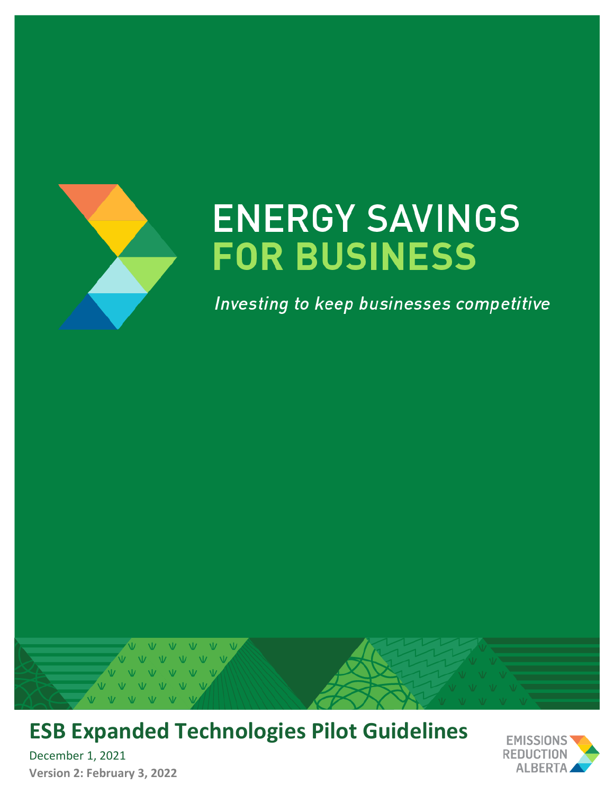

# **ENERGY SAVINGS FOR BUSINESS**

Investing to keep businesses competitive



# **ESB Expanded Technologies Pilot Guidelines**

December 1, 2021 **Version 2: February 3, 2022**

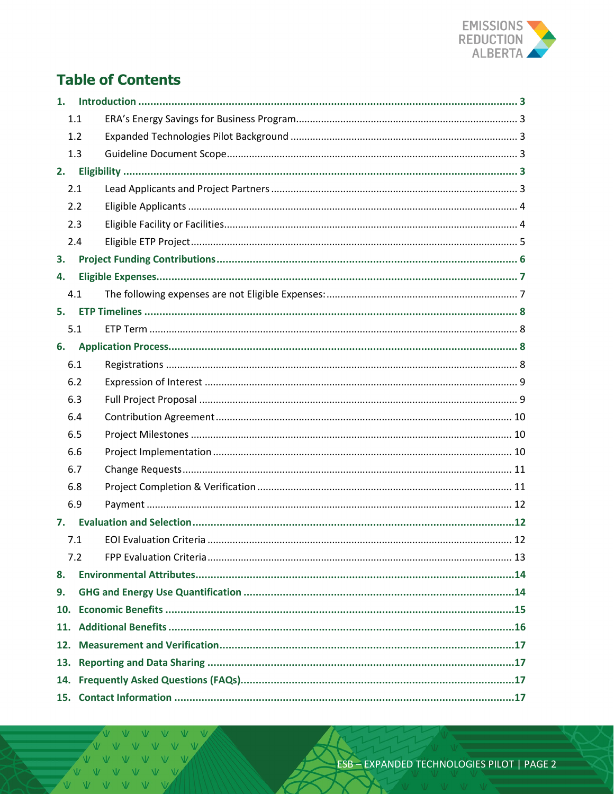

# **Table of Contents**

| 1.  |     |  |  |  |  |  |  |
|-----|-----|--|--|--|--|--|--|
| 1.1 |     |  |  |  |  |  |  |
|     | 1.2 |  |  |  |  |  |  |
|     | 1.3 |  |  |  |  |  |  |
|     | 2.  |  |  |  |  |  |  |
|     | 2.1 |  |  |  |  |  |  |
|     | 2.2 |  |  |  |  |  |  |
|     | 2.3 |  |  |  |  |  |  |
|     | 2.4 |  |  |  |  |  |  |
| 3.  |     |  |  |  |  |  |  |
| 4.  |     |  |  |  |  |  |  |
|     | 4.1 |  |  |  |  |  |  |
| 5.  |     |  |  |  |  |  |  |
|     | 5.1 |  |  |  |  |  |  |
| 6.  |     |  |  |  |  |  |  |
|     | 6.1 |  |  |  |  |  |  |
|     | 6.2 |  |  |  |  |  |  |
|     | 6.3 |  |  |  |  |  |  |
|     | 6.4 |  |  |  |  |  |  |
|     | 6.5 |  |  |  |  |  |  |
|     | 6.6 |  |  |  |  |  |  |
|     | 6.7 |  |  |  |  |  |  |
|     | 6.8 |  |  |  |  |  |  |
|     | 6.9 |  |  |  |  |  |  |
| 7.  |     |  |  |  |  |  |  |
|     | 7.1 |  |  |  |  |  |  |
|     | 7.2 |  |  |  |  |  |  |
| 8.  |     |  |  |  |  |  |  |
| 9.  |     |  |  |  |  |  |  |
| 10. |     |  |  |  |  |  |  |
|     |     |  |  |  |  |  |  |
| 12. |     |  |  |  |  |  |  |
|     |     |  |  |  |  |  |  |
|     |     |  |  |  |  |  |  |
|     |     |  |  |  |  |  |  |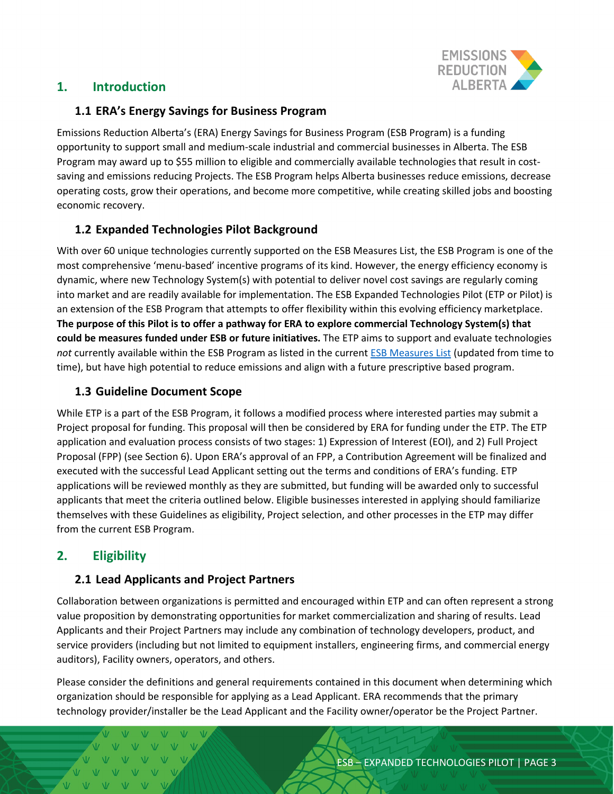

# <span id="page-2-0"></span>**1. Introduction**

#### <span id="page-2-1"></span>**1.1 ERA's Energy Savings for Business Program**

Emissions Reduction Alberta's (ERA) Energy Savings for Business Program (ESB Program) is a funding opportunity to support small and medium-scale industrial and commercial businesses in Alberta. The ESB Program may award up to \$55 million to eligible and commercially available technologies that result in costsaving and emissions reducing Projects. The ESB Program helps Alberta businesses reduce emissions, decrease operating costs, grow their operations, and become more competitive, while creating skilled jobs and boosting economic recovery.

# <span id="page-2-2"></span>**1.2 Expanded Technologies Pilot Background**

With over 60 unique technologies currently supported on the ESB Measures List, the ESB Program is one of the most comprehensive 'menu-based' incentive programs of its kind. However, the energy efficiency economy is dynamic, where new Technology System(s) with potential to deliver novel cost savings are regularly coming into market and are readily available for implementation. The ESB Expanded Technologies Pilot (ETP or Pilot) is an extension of the ESB Program that attempts to offer flexibility within this evolving efficiency marketplace. **The purpose of this Pilot is to offer a pathway for ERA to explore commercial Technology System(s) that could be measures funded under ESB or future initiatives.** The ETP aims to support and evaluate technologies *not* currently available within the ESB Program as listed in the curren[t ESB Measures List](https://eralberta.ca/wp-content/uploads/2021/05/ESB-Program-Measure-List-May-25-2021.pdf) (updated from time to time), but have high potential to reduce emissions and align with a future prescriptive based program.

# <span id="page-2-3"></span>**1.3 Guideline Document Scope**

While ETP is a part of the ESB Program, it follows a modified process where interested parties may submit a Project proposal for funding. This proposal will then be considered by ERA for funding under the ETP. The ETP application and evaluation process consists of two stages: 1) Expression of Interest (EOI), and 2) Full Project Proposal (FPP) (see Section 6). Upon ERA's approval of an FPP, a Contribution Agreement will be finalized and executed with the successful Lead Applicant setting out the terms and conditions of ERA's funding. ETP applications will be reviewed monthly as they are submitted, but funding will be awarded only to successful applicants that meet the criteria outlined below. Eligible businesses interested in applying should familiarize themselves with these Guidelines as eligibility, Project selection, and other processes in the ETP may differ from the current ESB Program.

# <span id="page-2-4"></span>**2. Eligibility**

V V V V V  $V = V - V - V - V - V$ VVVVV

# <span id="page-2-5"></span>**2.1 Lead Applicants and Project Partners**

Collaboration between organizations is permitted and encouraged within ETP and can often represent a strong value proposition by demonstrating opportunities for market commercialization and sharing of results. Lead Applicants and their Project Partners may include any combination of technology developers, product, and service providers (including but not limited to equipment installers, engineering firms, and commercial energy auditors), Facility owners, operators, and others.

Please consider the definitions and general requirements contained in this document when determining which organization should be responsible for applying as a Lead Applicant. ERA recommends that the primary technology provider/installer be the Lead Applicant and the Facility owner/operator be the Project Partner.

ESB – EXPANDED TECHNOLOGIES PILOT | PAGE 3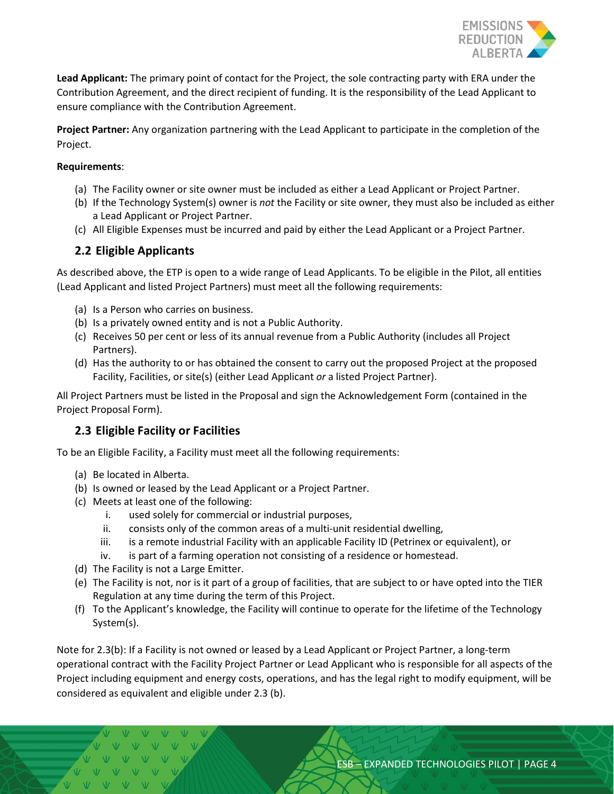

**Lead Applicant:** The primary point of contact for the Project, the sole contracting party with ERA under the Contribution Agreement, and the direct recipient of funding. It is the responsibility of the Lead Applicant to ensure compliance with the Contribution Agreement.

**Project Partner:** Any organization partnering with the Lead Applicant to participate in the completion of the Project.

#### **Requirements**:

- (a) The Facility owner or site owner must be included as either a Lead Applicant or Project Partner.
- (b) If the Technology System(s) owner is *not* the Facility or site owner, they must also be included as either a Lead Applicant or Project Partner.
- (c) All Eligible Expenses must be incurred and paid by either the Lead Applicant or a Project Partner.

#### <span id="page-3-0"></span>**2.2 Eligible Applicants**

As described above, the ETP is open to a wide range of Lead Applicants. To be eligible in the Pilot, all entities (Lead Applicant and listed Project Partners) must meet all the following requirements:

- (a) Is a Person who carries on business.
- (b) Is a privately owned entity and is not a Public Authority.
- (c) Receives 50 per cent or less of its annual revenue from a Public Authority (includes all Project Partners).
- (d) Has the authority to or has obtained the consent to carry out the proposed Project at the proposed Facility, Facilities, or site(s) (either Lead Applicant *or* a listed Project Partner).

All Project Partners must be listed in the Proposal and sign the Acknowledgement Form (contained in the Project Proposal Form).

#### <span id="page-3-1"></span>**2.3 Eligible Facility or Facilities**

To be an Eligible Facility, a Facility must meet all the following requirements:

- (a) Be located in Alberta.
- (b) Is owned or leased by the Lead Applicant or a Project Partner.
- (c) Meets at least one of the following:
	- i. used solely for commercial or industrial purposes,
	- ii. consists only of the common areas of a multi-unit residential dwelling,
	- iii. is a remote industrial Facility with an applicable Facility ID (Petrinex or equivalent), or
	- iv. is part of a farming operation not consisting of a residence or homestead.
- (d) The Facility is not a Large Emitter.
- (e) The Facility is not, nor is it part of a group of facilities, that are subject to or have opted into the TIER Regulation at any time during the term of this Project.
- (f) To the Applicant's knowledge, the Facility will continue to operate for the lifetime of the Technology System(s).

Note for 2.3(b): If a Facility is not owned or leased by a Lead Applicant or Project Partner, a long-term operational contract with the Facility Project Partner or Lead Applicant who is responsible for all aspects of the Project including equipment and energy costs, operations, and has the legal right to modify equipment, will be considered as equivalent and eligible under 2.3 (b).

 $V - V$  $W - W - W - W$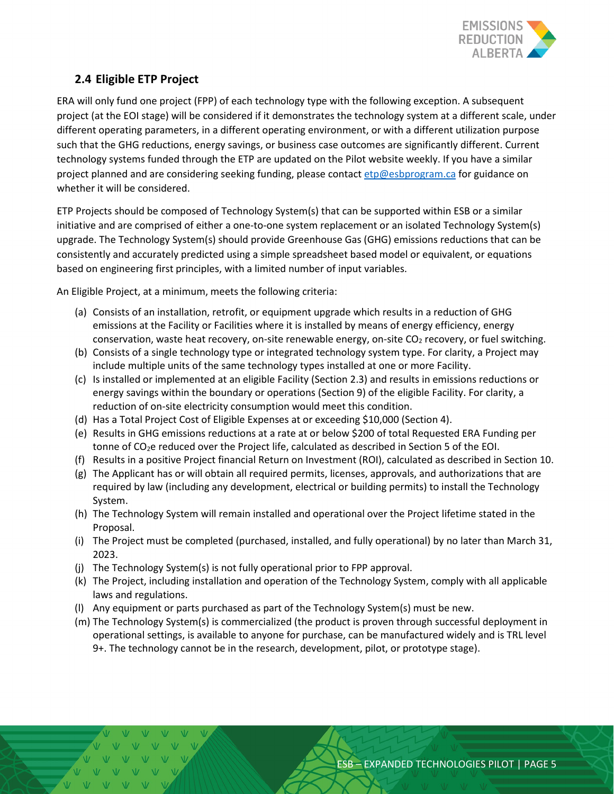

# <span id="page-4-0"></span>**2.4 Eligible ETP Project**

ERA will only fund one project (FPP) of each technology type with the following exception. A subsequent project (at the EOI stage) will be considered if it demonstrates the technology system at a different scale, under different operating parameters, in a different operating environment, or with a different utilization purpose such that the GHG reductions, energy savings, or business case outcomes are significantly different. Current technology systems funded through the ETP are updated on the Pilot website weekly. If you have a similar project planned and are considering seeking funding, please contact [etp@esbprogram.ca](mailto:etp@esbprogram.ca) for guidance on whether it will be considered.

ETP Projects should be composed of Technology System(s) that can be supported within ESB or a similar initiative and are comprised of either a one-to-one system replacement or an isolated Technology System(s) upgrade. The Technology System(s) should provide Greenhouse Gas (GHG) emissions reductions that can be consistently and accurately predicted using a simple spreadsheet based model or equivalent, or equations based on engineering first principles, with a limited number of input variables.

An Eligible Project, at a minimum, meets the following criteria:

- (a) Consists of an installation, retrofit, or equipment upgrade which results in a reduction of GHG emissions at the Facility or Facilities where it is installed by means of energy efficiency, energy conservation, waste heat recovery, on-site renewable energy, on-site CO<sub>2</sub> recovery, or fuel switching.
- (b) Consists of a single technology type or integrated technology system type. For clarity, a Project may include multiple units of the same technology types installed at one or more Facility.
- (c) Is installed or implemented at an eligible Facility (Section 2.3) and results in emissions reductions or energy savings within the boundary or operations (Section 9) of the eligible Facility. For clarity, a reduction of on-site electricity consumption would meet this condition.
- (d) Has a Total Project Cost of Eligible Expenses at or exceeding \$10,000 (Section 4).
- (e) Results in GHG emissions reductions at a rate at or below \$200 of total Requested ERA Funding per tonne of CO<sub>2</sub>e reduced over the Project life, calculated as described in Section 5 of the EOI.
- (f) Results in a positive Project financial Return on Investment (ROI), calculated as described in Section 10.
- (g) The Applicant has or will obtain all required permits, licenses, approvals, and authorizations that are required by law (including any development, electrical or building permits) to install the Technology System.
- (h) The Technology System will remain installed and operational over the Project lifetime stated in the Proposal.
- (i) The Project must be completed (purchased, installed, and fully operational) by no later than March 31, 2023.
- (j) The Technology System(s) is not fully operational prior to FPP approval.
- (k) The Project, including installation and operation of the Technology System, comply with all applicable laws and regulations.
- (l) Any equipment or parts purchased as part of the Technology System(s) must be new.
- (m) The Technology System(s) is commercialized (the product is proven through successful deployment in operational settings, is available to anyone for purchase, can be manufactured widely and is TRL level 9+. The technology cannot be in the research, development, pilot, or prototype stage).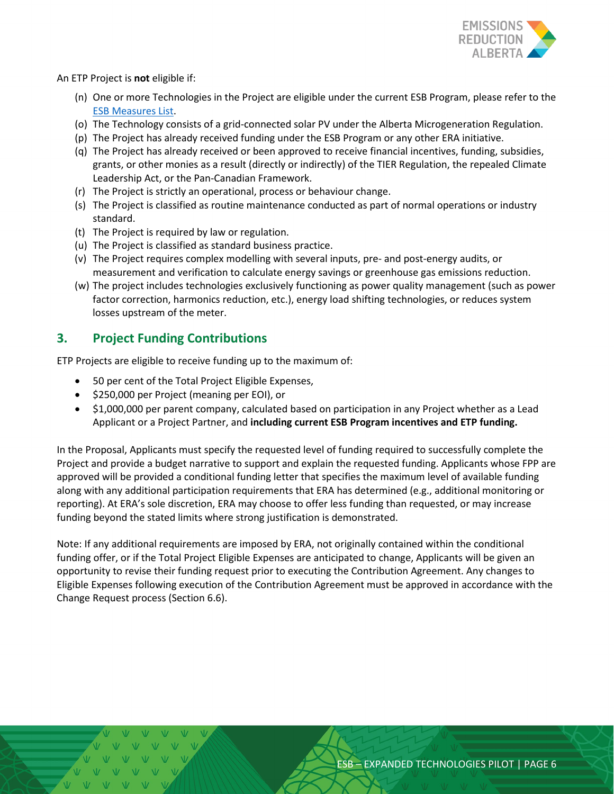

An ETP Project is **not** eligible if:

- (n) One or more Technologies in the Project are eligible under the current ESB Program, please refer to the [ESB Measures List.](https://eralberta.ca/wp-content/uploads/2021/05/ESB-Program-Measure-List-May-25-2021.pdf)
- (o) The Technology consists of a grid-connected solar PV under the Alberta Microgeneration Regulation.
- (p) The Project has already received funding under the ESB Program or any other ERA initiative.
- (q) The Project has already received or been approved to receive financial incentives, funding, subsidies, grants, or other monies as a result (directly or indirectly) of the TIER Regulation, the repealed Climate Leadership Act, or the Pan-Canadian Framework.
- (r) The Project is strictly an operational, process or behaviour change.
- (s) The Project is classified as routine maintenance conducted as part of normal operations or industry standard.
- (t) The Project is required by law or regulation.
- (u) The Project is classified as standard business practice.
- (v) The Project requires complex modelling with several inputs, pre- and post-energy audits, or measurement and verification to calculate energy savings or greenhouse gas emissions reduction.
- (w) The project includes technologies exclusively functioning as power quality management (such as power factor correction, harmonics reduction, etc.), energy load shifting technologies, or reduces system losses upstream of the meter.

# <span id="page-5-0"></span>**3. Project Funding Contributions**

ETP Projects are eligible to receive funding up to the maximum of:

- 50 per cent of the Total Project Eligible Expenses,
- \$250,000 per Project (meaning per EOI), or
- \$1,000,000 per parent company, calculated based on participation in any Project whether as a Lead Applicant or a Project Partner, and **including current ESB Program incentives and ETP funding.**

In the Proposal, Applicants must specify the requested level of funding required to successfully complete the Project and provide a budget narrative to support and explain the requested funding. Applicants whose FPP are approved will be provided a conditional funding letter that specifies the maximum level of available funding along with any additional participation requirements that ERA has determined (e.g., additional monitoring or reporting). At ERA's sole discretion, ERA may choose to offer less funding than requested, or may increase funding beyond the stated limits where strong justification is demonstrated.

Note: If any additional requirements are imposed by ERA, not originally contained within the conditional funding offer, or if the Total Project Eligible Expenses are anticipated to change, Applicants will be given an opportunity to revise their funding request prior to executing the Contribution Agreement. Any changes to Eligible Expenses following execution of the Contribution Agreement must be approved in accordance with the Change Request process (Section 6.6).

ESB – EXPANDED TECHNOLOGIES PILOT | PAGE 6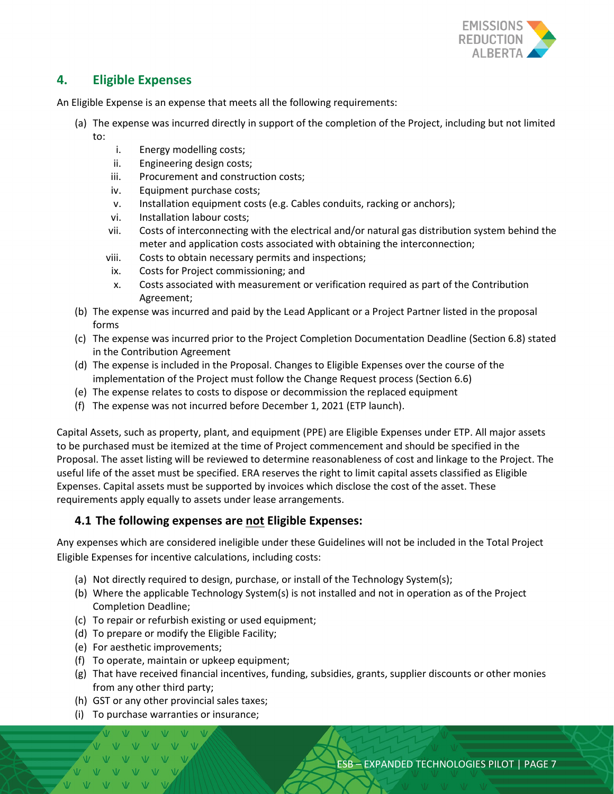

# <span id="page-6-0"></span>**4. Eligible Expenses**

An Eligible Expense is an expense that meets all the following requirements:

- (a) The expense was incurred directly in support of the completion of the Project, including but not limited to:
	- i. Energy modelling costs;
	- ii. Engineering design costs;
	- iii. Procurement and construction costs;
	- iv. Equipment purchase costs;
	- v. Installation equipment costs (e.g. Cables conduits, racking or anchors);
	- vi. Installation labour costs;
	- vii. Costs of interconnecting with the electrical and/or natural gas distribution system behind the meter and application costs associated with obtaining the interconnection;
	- viii. Costs to obtain necessary permits and inspections;
	- ix. Costs for Project commissioning; and
	- x. Costs associated with measurement or verification required as part of the Contribution Agreement;
- (b) The expense was incurred and paid by the Lead Applicant or a Project Partner listed in the proposal forms
- (c) The expense was incurred prior to the Project Completion Documentation Deadline (Section 6.8) stated in the Contribution Agreement
- (d) The expense is included in the Proposal. Changes to Eligible Expenses over the course of the implementation of the Project must follow the Change Request process (Section 6.6)
- (e) The expense relates to costs to dispose or decommission the replaced equipment
- (f) The expense was not incurred before December 1, 2021 (ETP launch).

Capital Assets, such as property, plant, and equipment (PPE) are Eligible Expenses under ETP. All major assets to be purchased must be itemized at the time of Project commencement and should be specified in the Proposal. The asset listing will be reviewed to determine reasonableness of cost and linkage to the Project. The useful life of the asset must be specified. ERA reserves the right to limit capital assets classified as Eligible Expenses. Capital assets must be supported by invoices which disclose the cost of the asset. These requirements apply equally to assets under lease arrangements.

#### <span id="page-6-1"></span>**4.1 The following expenses are not Eligible Expenses:**

Any expenses which are considered ineligible under these Guidelines will not be included in the Total Project Eligible Expenses for incentive calculations, including costs:

- (a) Not directly required to design, purchase, or install of the Technology System(s);
- (b) Where the applicable Technology System(s) is not installed and not in operation as of the Project Completion Deadline;
- (c) To repair or refurbish existing or used equipment;
- (d) To prepare or modify the Eligible Facility;
- (e) For aesthetic improvements;
- (f) To operate, maintain or upkeep equipment;
- (g) That have received financial incentives, funding, subsidies, grants, supplier discounts or other monies from any other third party;
- (h) GST or any other provincial sales taxes;
- (i) To purchase warranties or insurance;

VVVV

 $W - W - W - W$  $V$   $V$   $V$ 

ESB – EXPANDED TECHNOLOGIES PILOT | PAGE 7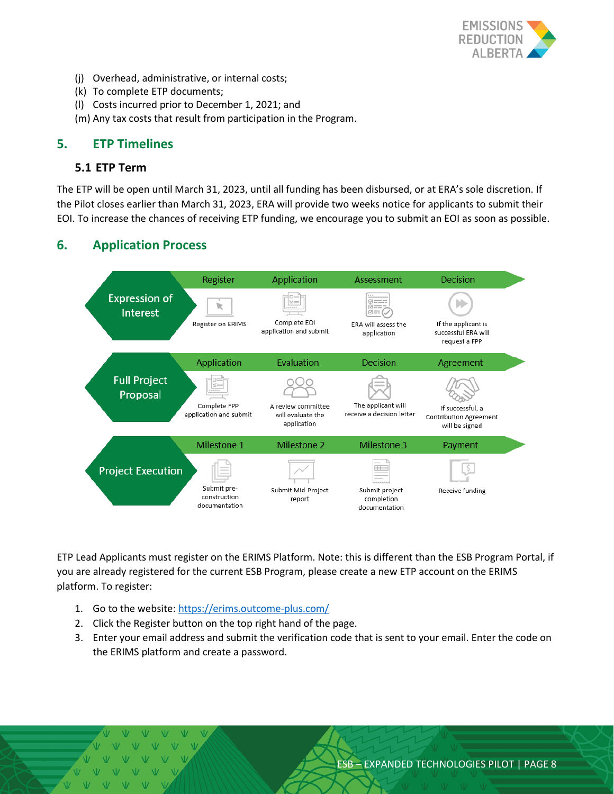

- (j) Overhead, administrative, or internal costs;
- (k) To complete ETP documents;
- (l) Costs incurred prior to December 1, 2021; and
- (m) Any tax costs that result from participation in the Program.

#### <span id="page-7-0"></span>**5. ETP Timelines**

#### <span id="page-7-1"></span>**5.1 ETP Term**

The ETP will be open until March 31, 2023, until all funding has been disbursed, or at ERA's sole discretion. If the Pilot closes earlier than March 31, 2023, ERA will provide two weeks notice for applicants to submit their EOI. To increase the chances of receiving ETP funding, we encourage you to submit an EOI as soon as possible.

# <span id="page-7-2"></span>**6. Application Process**



<span id="page-7-3"></span>ETP Lead Applicants must register on the ERIMS Platform. Note: this is different than the ESB Program Portal, if you are already registered for the current ESB Program, please create a new ETP account on the ERIMS platform. To register:

- 1. Go to the website:<https://erims.outcome-plus.com/>
- 2. Click the Register button on the top right hand of the page.
- 3. Enter your email address and submit the verification code that is sent to your email. Enter the code on the ERIMS platform and create a password.

 $V$   $V$   $V$   $V$  $V$   $V$  $\mathbf{W}$  $W - W - W - W$  $V$   $V$   $V$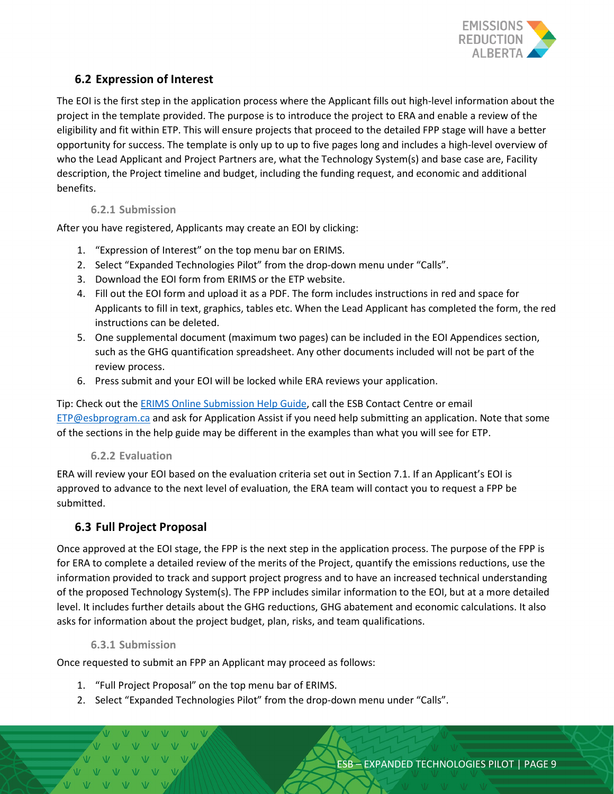

### <span id="page-8-0"></span>**6.2 Expression of Interest**

The EOI is the first step in the application process where the Applicant fills out high-level information about the project in the template provided. The purpose is to introduce the project to ERA and enable a review of the eligibility and fit within ETP. This will ensure projects that proceed to the detailed FPP stage will have a better opportunity for success. The template is only up to up to five pages long and includes a high-level overview of who the Lead Applicant and Project Partners are, what the Technology System(s) and base case are, Facility description, the Project timeline and budget, including the funding request, and economic and additional benefits.

#### **6.2.1 Submission**

After you have registered, Applicants may create an EOI by clicking:

- 1. "Expression of Interest" on the top menu bar on ERIMS.
- 2. Select "Expanded Technologies Pilot" from the drop-down menu under "Calls".
- 3. Download the EOI form from ERIMS or the ETP website.
- 4. Fill out the EOI form and upload it as a PDF. The form includes instructions in red and space for Applicants to fill in text, graphics, tables etc. When the Lead Applicant has completed the form, the red instructions can be deleted.
- 5. One supplemental document (maximum two pages) can be included in the EOI Appendices section, such as the GHG quantification spreadsheet. Any other documents included will not be part of the review process.
- 6. Press submit and your EOI will be locked while ERA reviews your application.

Tip: Check out the [ERIMS Online Submission Help Guide,](https://erims.outcome-plus.com/Content/Files/ERIMS/Files/Online%20Submission%20Help%20Guidelines.pdf) call the ESB Contact Centre or email [ETP@esbprogram.ca](mailto:ETP@esbprogram.ca) and ask for Application Assist if you need help submitting an application. Note that some of the sections in the help guide may be different in the examples than what you will see for ETP.

#### **6.2.2 Evaluation**

ERA will review your EOI based on the evaluation criteria set out in Section 7.1. If an Applicant's EOI is approved to advance to the next level of evaluation, the ERA team will contact you to request a FPP be submitted.

# <span id="page-8-1"></span>**6.3 Full Project Proposal**

Once approved at the EOI stage, the FPP is the next step in the application process. The purpose of the FPP is for ERA to complete a detailed review of the merits of the Project, quantify the emissions reductions, use the information provided to track and support project progress and to have an increased technical understanding of the proposed Technology System(s). The FPP includes similar information to the EOI, but at a more detailed level. It includes further details about the GHG reductions, GHG abatement and economic calculations. It also asks for information about the project budget, plan, risks, and team qualifications.

#### **6.3.1 Submission**

Once requested to submit an FPP an Applicant may proceed as follows:

- 1. "Full Project Proposal" on the top menu bar of ERIMS.
- 2. Select "Expanded Technologies Pilot" from the drop-down menu under "Calls".

 $\overline{M}$   $\overline{M}$   $\overline{M}$   $\overline{M}$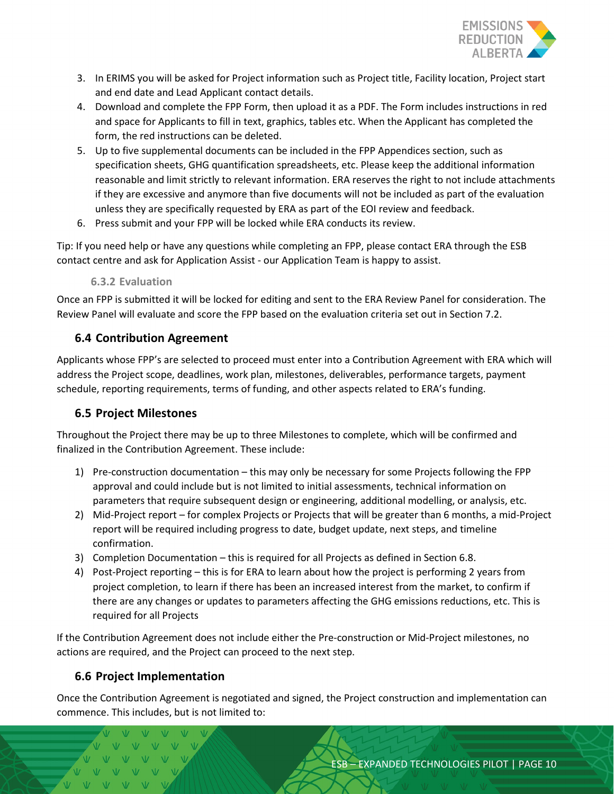

- 3. In ERIMS you will be asked for Project information such as Project title, Facility location, Project start and end date and Lead Applicant contact details.
- 4. Download and complete the FPP Form, then upload it as a PDF. The Form includes instructions in red and space for Applicants to fill in text, graphics, tables etc. When the Applicant has completed the form, the red instructions can be deleted.
- 5. Up to five supplemental documents can be included in the FPP Appendices section, such as specification sheets, GHG quantification spreadsheets, etc. Please keep the additional information reasonable and limit strictly to relevant information. ERA reserves the right to not include attachments if they are excessive and anymore than five documents will not be included as part of the evaluation unless they are specifically requested by ERA as part of the EOI review and feedback.
- 6. Press submit and your FPP will be locked while ERA conducts its review.

Tip: If you need help or have any questions while completing an FPP, please contact ERA through the ESB contact centre and ask for Application Assist - our Application Team is happy to assist.

#### **6.3.2 Evaluation**

Once an FPP is submitted it will be locked for editing and sent to the ERA Review Panel for consideration. The Review Panel will evaluate and score the FPP based on the evaluation criteria set out in Section 7.2.

### <span id="page-9-0"></span>**6.4 Contribution Agreement**

Applicants whose FPP's are selected to proceed must enter into a Contribution Agreement with ERA which will address the Project scope, deadlines, work plan, milestones, deliverables, performance targets, payment schedule, reporting requirements, terms of funding, and other aspects related to ERA's funding.

#### <span id="page-9-1"></span>**6.5 Project Milestones**

Throughout the Project there may be up to three Milestones to complete, which will be confirmed and finalized in the Contribution Agreement. These include:

- 1) Pre-construction documentation this may only be necessary for some Projects following the FPP approval and could include but is not limited to initial assessments, technical information on parameters that require subsequent design or engineering, additional modelling, or analysis, etc.
- 2) Mid-Project report for complex Projects or Projects that will be greater than 6 months, a mid-Project report will be required including progress to date, budget update, next steps, and timeline confirmation.
- 3) Completion Documentation this is required for all Projects as defined in Section 6.8.
- 4) Post-Project reporting this is for ERA to learn about how the project is performing 2 years from project completion, to learn if there has been an increased interest from the market, to confirm if there are any changes or updates to parameters affecting the GHG emissions reductions, etc. This is required for all Projects

If the Contribution Agreement does not include either the Pre-construction or Mid-Project milestones, no actions are required, and the Project can proceed to the next step.

# <span id="page-9-2"></span>**6.6 Project Implementation**

Once the Contribution Agreement is negotiated and signed, the Project construction and implementation can commence. This includes, but is not limited to:

VVVVVV V V V V V V VVVVV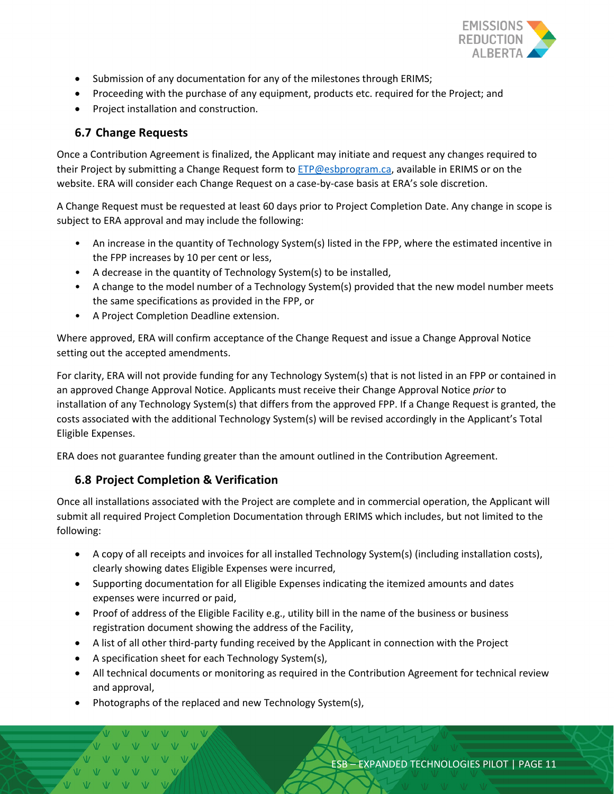

- Submission of any documentation for any of the milestones through ERIMS;
- Proceeding with the purchase of any equipment, products etc. required for the Project; and
- Project installation and construction.

# <span id="page-10-0"></span>**6.7 Change Requests**

Once a Contribution Agreement is finalized, the Applicant may initiate and request any changes required to their Project by submitting a Change Request form to [ETP@esbprogram.ca,](mailto:ETP@esbprogram.ca) available in ERIMS or on the website. ERA will consider each Change Request on a case-by-case basis at ERA's sole discretion.

A Change Request must be requested at least 60 days prior to Project Completion Date. Any change in scope is subject to ERA approval and may include the following:

- An increase in the quantity of Technology System(s) listed in the FPP, where the estimated incentive in the FPP increases by 10 per cent or less,
- A decrease in the quantity of Technology System(s) to be installed,
- A change to the model number of a Technology System(s) provided that the new model number meets the same specifications as provided in the FPP, or
- A Project Completion Deadline extension.

Where approved, ERA will confirm acceptance of the Change Request and issue a Change Approval Notice setting out the accepted amendments.

For clarity, ERA will not provide funding for any Technology System(s) that is not listed in an FPP or contained in an approved Change Approval Notice. Applicants must receive their Change Approval Notice *prior* to installation of any Technology System(s) that differs from the approved FPP. If a Change Request is granted, the costs associated with the additional Technology System(s) will be revised accordingly in the Applicant's Total Eligible Expenses.

ERA does not guarantee funding greater than the amount outlined in the Contribution Agreement.

# <span id="page-10-1"></span>**6.8 Project Completion & Verification**

Once all installations associated with the Project are complete and in commercial operation, the Applicant will submit all required Project Completion Documentation through ERIMS which includes, but not limited to the following:

- A copy of all receipts and invoices for all installed Technology System(s) (including installation costs), clearly showing dates Eligible Expenses were incurred,
- Supporting documentation for all Eligible Expenses indicating the itemized amounts and dates expenses were incurred or paid,
- Proof of address of the Eligible Facility e.g., utility bill in the name of the business or business registration document showing the address of the Facility,
- A list of all other third-party funding received by the Applicant in connection with the Project
- A specification sheet for each Technology System(s),
- All technical documents or monitoring as required in the Contribution Agreement for technical review and approval,
- Photographs of the replaced and new Technology System(s),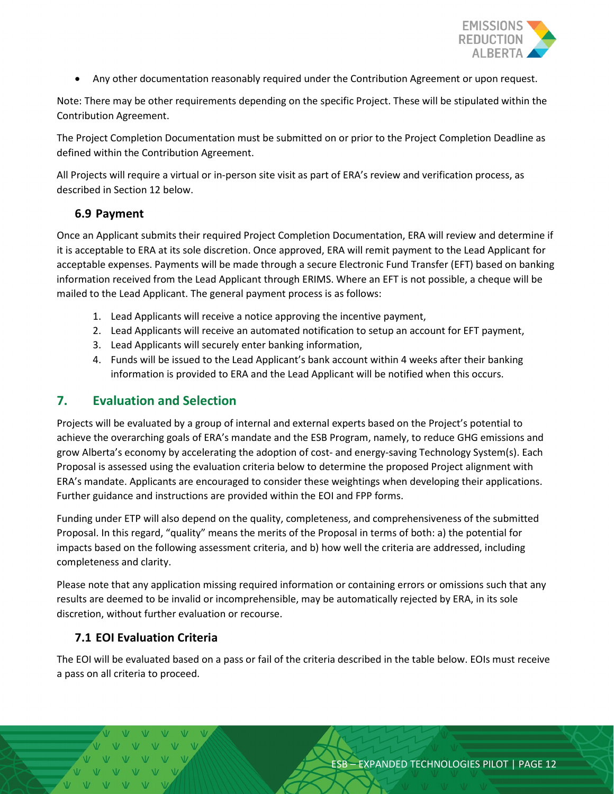

• Any other documentation reasonably required under the Contribution Agreement or upon request.

Note: There may be other requirements depending on the specific Project. These will be stipulated within the Contribution Agreement.

The Project Completion Documentation must be submitted on or prior to the Project Completion Deadline as defined within the Contribution Agreement.

All Projects will require a virtual or in-person site visit as part of ERA's review and verification process, as described in Section 12 below.

#### <span id="page-11-0"></span>**6.9 Payment**

Once an Applicant submits their required Project Completion Documentation, ERA will review and determine if it is acceptable to ERA at its sole discretion. Once approved, ERA will remit payment to the Lead Applicant for acceptable expenses. Payments will be made through a secure Electronic Fund Transfer (EFT) based on banking information received from the Lead Applicant through ERIMS. Where an EFT is not possible, a cheque will be mailed to the Lead Applicant. The general payment process is as follows:

- 1. Lead Applicants will receive a notice approving the incentive payment,
- 2. Lead Applicants will receive an automated notification to setup an account for EFT payment,
- 3. Lead Applicants will securely enter banking information,
- 4. Funds will be issued to the Lead Applicant's bank account within 4 weeks after their banking information is provided to ERA and the Lead Applicant will be notified when this occurs.

# <span id="page-11-1"></span>**7. Evaluation and Selection**

Projects will be evaluated by a group of internal and external experts based on the Project's potential to achieve the overarching goals of ERA's mandate and the ESB Program, namely, to reduce GHG emissions and grow Alberta's economy by accelerating the adoption of cost- and energy-saving Technology System(s). Each Proposal is assessed using the evaluation criteria below to determine the proposed Project alignment with ERA's mandate. Applicants are encouraged to consider these weightings when developing their applications. Further guidance and instructions are provided within the EOI and FPP forms.

Funding under ETP will also depend on the quality, completeness, and comprehensiveness of the submitted Proposal. In this regard, "quality" means the merits of the Proposal in terms of both: a) the potential for impacts based on the following assessment criteria, and b) how well the criteria are addressed, including completeness and clarity.

Please note that any application missing required information or containing errors or omissions such that any results are deemed to be invalid or incomprehensible, may be automatically rejected by ERA, in its sole discretion, without further evaluation or recourse.

#### <span id="page-11-2"></span>**7.1 EOI Evaluation Criteria**

The EOI will be evaluated based on a pass or fail of the criteria described in the table below. EOIs must receive a pass on all criteria to proceed.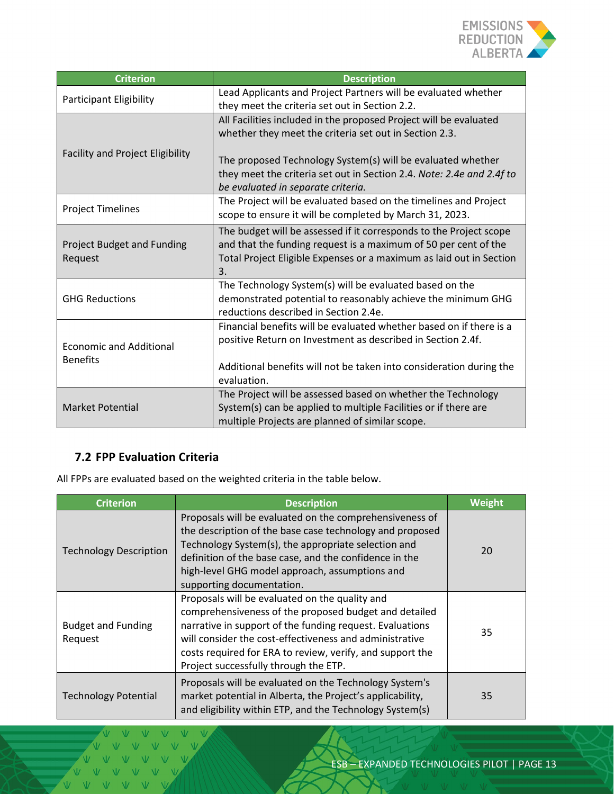

| <b>Criterion</b>                                  | <b>Description</b>                                                                                                                                                                                                                                                                                        |  |
|---------------------------------------------------|-----------------------------------------------------------------------------------------------------------------------------------------------------------------------------------------------------------------------------------------------------------------------------------------------------------|--|
| <b>Participant Eligibility</b>                    | Lead Applicants and Project Partners will be evaluated whether<br>they meet the criteria set out in Section 2.2.                                                                                                                                                                                          |  |
| <b>Facility and Project Eligibility</b>           | All Facilities included in the proposed Project will be evaluated<br>whether they meet the criteria set out in Section 2.3.<br>The proposed Technology System(s) will be evaluated whether<br>they meet the criteria set out in Section 2.4. Note: 2.4e and 2.4f to<br>be evaluated in separate criteria. |  |
| <b>Project Timelines</b>                          | The Project will be evaluated based on the timelines and Project<br>scope to ensure it will be completed by March 31, 2023.                                                                                                                                                                               |  |
| Project Budget and Funding<br>Request             | The budget will be assessed if it corresponds to the Project scope<br>and that the funding request is a maximum of 50 per cent of the<br>Total Project Eligible Expenses or a maximum as laid out in Section<br>3.                                                                                        |  |
| <b>GHG Reductions</b>                             | The Technology System(s) will be evaluated based on the<br>demonstrated potential to reasonably achieve the minimum GHG<br>reductions described in Section 2.4e.                                                                                                                                          |  |
| <b>Economic and Additional</b><br><b>Benefits</b> | Financial benefits will be evaluated whether based on if there is a<br>positive Return on Investment as described in Section 2.4f.<br>Additional benefits will not be taken into consideration during the<br>evaluation.                                                                                  |  |
| <b>Market Potential</b>                           | The Project will be assessed based on whether the Technology<br>System(s) can be applied to multiple Facilities or if there are<br>multiple Projects are planned of similar scope.                                                                                                                        |  |

# <span id="page-12-0"></span>**7.2 FPP Evaluation Criteria**

All FPPs are evaluated based on the weighted criteria in the table below.

| <b>Criterion</b>                     | <b>Description</b>                                                                                                                                                                                                                                                                                                                   | <b>Weight</b> |
|--------------------------------------|--------------------------------------------------------------------------------------------------------------------------------------------------------------------------------------------------------------------------------------------------------------------------------------------------------------------------------------|---------------|
| <b>Technology Description</b>        | Proposals will be evaluated on the comprehensiveness of<br>the description of the base case technology and proposed<br>Technology System(s), the appropriate selection and<br>definition of the base case, and the confidence in the<br>high-level GHG model approach, assumptions and<br>supporting documentation.                  | 20            |
| <b>Budget and Funding</b><br>Request | Proposals will be evaluated on the quality and<br>comprehensiveness of the proposed budget and detailed<br>narrative in support of the funding request. Evaluations<br>will consider the cost-effectiveness and administrative<br>costs required for ERA to review, verify, and support the<br>Project successfully through the ETP. | 35            |
| <b>Technology Potential</b>          | Proposals will be evaluated on the Technology System's<br>market potential in Alberta, the Project's applicability,<br>and eligibility within ETP, and the Technology System(s)                                                                                                                                                      | 35            |

 $\sqrt{v}$  $V \quad V$  $V - V - V$ VVVV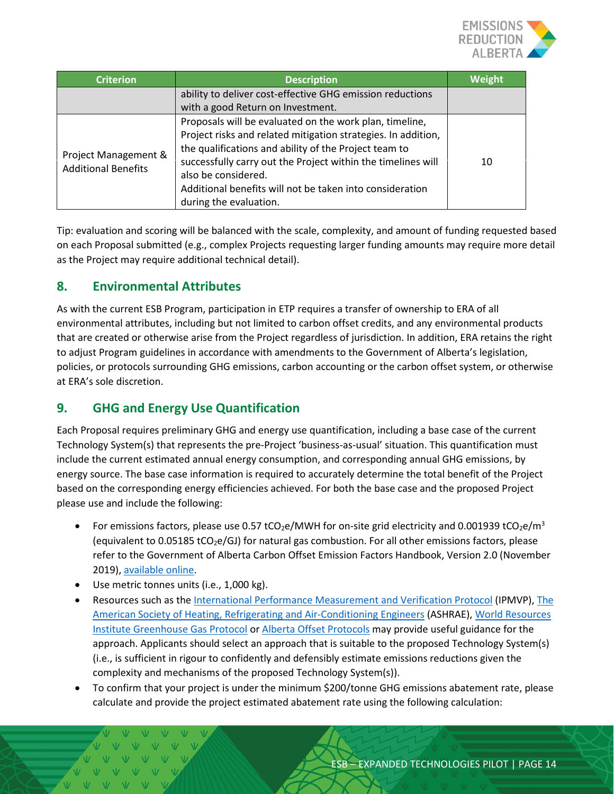

| <b>Criterion</b>                                   | <b>Description</b>                                                                                                                                                                                                                                                                                                                                             | Weight |
|----------------------------------------------------|----------------------------------------------------------------------------------------------------------------------------------------------------------------------------------------------------------------------------------------------------------------------------------------------------------------------------------------------------------------|--------|
|                                                    | ability to deliver cost-effective GHG emission reductions<br>with a good Return on Investment.                                                                                                                                                                                                                                                                 |        |
| Project Management &<br><b>Additional Benefits</b> | Proposals will be evaluated on the work plan, timeline,<br>Project risks and related mitigation strategies. In addition,<br>the qualifications and ability of the Project team to<br>successfully carry out the Project within the timelines will<br>also be considered.<br>Additional benefits will not be taken into consideration<br>during the evaluation. | 10     |

Tip: evaluation and scoring will be balanced with the scale, complexity, and amount of funding requested based on each Proposal submitted (e.g., complex Projects requesting larger funding amounts may require more detail as the Project may require additional technical detail).

# <span id="page-13-0"></span>**8. Environmental Attributes**

As with the current ESB Program, participation in ETP requires a transfer of ownership to ERA of all environmental attributes, including but not limited to carbon offset credits, and any environmental products that are created or otherwise arise from the Project regardless of jurisdiction. In addition, ERA retains the right to adjust Program guidelines in accordance with amendments to the Government of Alberta's legislation, policies, or protocols surrounding GHG emissions, carbon accounting or the carbon offset system, or otherwise at ERA's sole discretion.

# <span id="page-13-1"></span>**9. GHG and Energy Use Quantification**

Each Proposal requires preliminary GHG and energy use quantification, including a base case of the current Technology System(s) that represents the pre-Project 'business-as-usual' situation. This quantification must include the current estimated annual energy consumption, and corresponding annual GHG emissions, by energy source. The base case information is required to accurately determine the total benefit of the Project based on the corresponding energy efficiencies achieved. For both the base case and the proposed Project please use and include the following:

- For emissions factors, please use 0.57 tCO<sub>2</sub>e/MWH for on-site grid electricity and 0.001939 tCO<sub>2</sub>e/m<sup>3</sup> (equivalent to 0.05185 tCO<sub>2</sub>e/GJ) for natural gas combustion. For all other emissions factors, please refer to the Government of Alberta Carbon Offset Emission Factors Handbook, Version 2.0 (November 2019)[, available online.](https://open.alberta.ca/dataset/9781460146064)
- Use metric tonnes units (i.e., 1,000 kg).
- Resources such as the [International Performance Measurement and Verification Protocol](https://evo-world.org/en/products-services-mainmenu-en/protocols/ipmvp) (IPMVP)[, The](https://www.ashrae.org/)  [American Society of Heating, Refrigerating and Air-Conditioning Engineers](https://www.ashrae.org/) (ASHRAE)[, World Resources](https://www.wri.org/initiatives/greenhouse-gas-protocol)  [Institute Greenhouse Gas Protocol](https://www.wri.org/initiatives/greenhouse-gas-protocol) o[r Alberta Offset Protocols](https://www.alberta.ca/alberta-emission-offset-system.aspx) may provide useful guidance for the approach. Applicants should select an approach that is suitable to the proposed Technology System(s) (i.e., is sufficient in rigour to confidently and defensibly estimate emissions reductions given the complexity and mechanisms of the proposed Technology System(s)).
- To confirm that your project is under the minimum \$200/tonne GHG emissions abatement rate, please calculate and provide the project estimated abatement rate using the following calculation: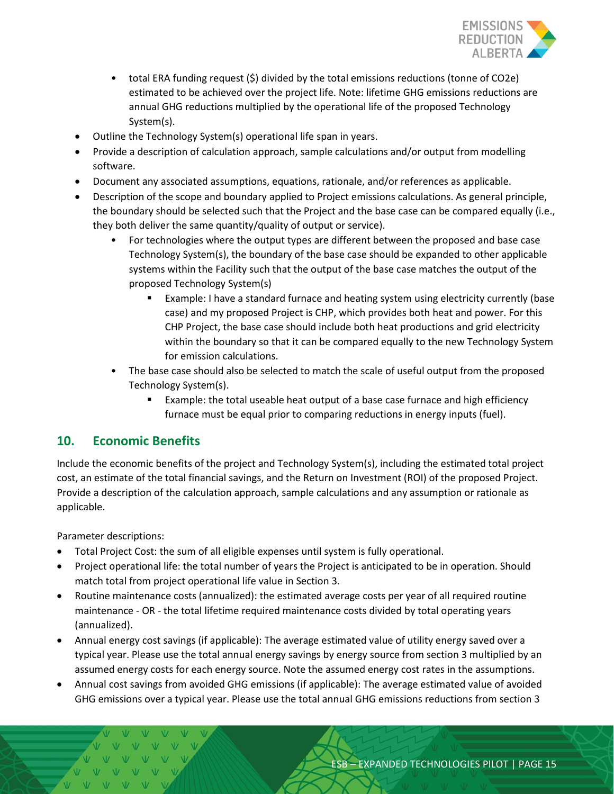

- total ERA funding request (\$) divided by the total emissions reductions (tonne of CO2e) estimated to be achieved over the project life. Note: lifetime GHG emissions reductions are annual GHG reductions multiplied by the operational life of the proposed Technology System(s).
- Outline the Technology System(s) operational life span in years.
- Provide a description of calculation approach, sample calculations and/or output from modelling software.
- Document any associated assumptions, equations, rationale, and/or references as applicable.
- Description of the scope and boundary applied to Project emissions calculations. As general principle, the boundary should be selected such that the Project and the base case can be compared equally (i.e., they both deliver the same quantity/quality of output or service).
	- For technologies where the output types are different between the proposed and base case Technology System(s), the boundary of the base case should be expanded to other applicable systems within the Facility such that the output of the base case matches the output of the proposed Technology System(s)
		- Example: I have a standard furnace and heating system using electricity currently (base case) and my proposed Project is CHP, which provides both heat and power. For this CHP Project, the base case should include both heat productions and grid electricity within the boundary so that it can be compared equally to the new Technology System for emission calculations.
	- The base case should also be selected to match the scale of useful output from the proposed Technology System(s).
		- **Example: the total useable heat output of a base case furnace and high efficiency** furnace must be equal prior to comparing reductions in energy inputs (fuel).

# <span id="page-14-0"></span>**10. Economic Benefits**

Include the economic benefits of the project and Technology System(s), including the estimated total project cost, an estimate of the total financial savings, and the Return on Investment (ROI) of the proposed Project. Provide a description of the calculation approach, sample calculations and any assumption or rationale as applicable.

Parameter descriptions:

- Total Project Cost: the sum of all eligible expenses until system is fully operational.
- Project operational life: the total number of years the Project is anticipated to be in operation. Should match total from project operational life value in Section 3.
- Routine maintenance costs (annualized): the estimated average costs per year of all required routine maintenance - OR - the total lifetime required maintenance costs divided by total operating years (annualized).
- Annual energy cost savings (if applicable): The average estimated value of utility energy saved over a typical year. Please use the total annual energy savings by energy source from section 3 multiplied by an assumed energy costs for each energy source. Note the assumed energy cost rates in the assumptions.
- Annual cost savings from avoided GHG emissions (if applicable): The average estimated value of avoided GHG emissions over a typical year. Please use the total annual GHG emissions reductions from section 3

 $M = M$   $N$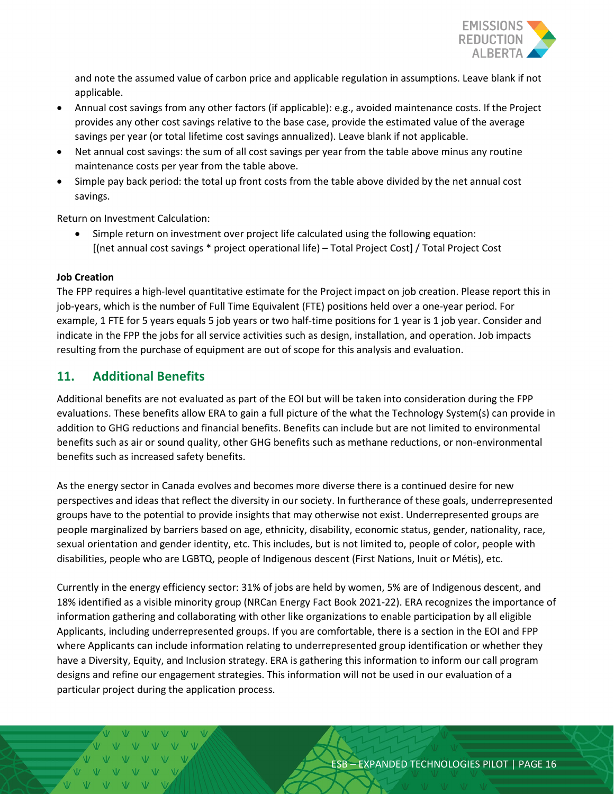

and note the assumed value of carbon price and applicable regulation in assumptions. Leave blank if not applicable.

- Annual cost savings from any other factors (if applicable): e.g., avoided maintenance costs. If the Project provides any other cost savings relative to the base case, provide the estimated value of the average savings per year (or total lifetime cost savings annualized). Leave blank if not applicable.
- Net annual cost savings: the sum of all cost savings per year from the table above minus any routine maintenance costs per year from the table above.
- Simple pay back period: the total up front costs from the table above divided by the net annual cost savings.

Return on Investment Calculation:

• Simple return on investment over project life calculated using the following equation: [(net annual cost savings \* project operational life) – Total Project Cost] / Total Project Cost

#### **Job Creation**

The FPP requires a high-level quantitative estimate for the Project impact on job creation. Please report this in job-years, which is the number of Full Time Equivalent (FTE) positions held over a one-year period. For example, 1 FTE for 5 years equals 5 job years or two half-time positions for 1 year is 1 job year. Consider and indicate in the FPP the jobs for all service activities such as design, installation, and operation. Job impacts resulting from the purchase of equipment are out of scope for this analysis and evaluation.

# <span id="page-15-0"></span>**11. Additional Benefits**

Additional benefits are not evaluated as part of the EOI but will be taken into consideration during the FPP evaluations. These benefits allow ERA to gain a full picture of the what the Technology System(s) can provide in addition to GHG reductions and financial benefits. Benefits can include but are not limited to environmental benefits such as air or sound quality, other GHG benefits such as methane reductions, or non-environmental benefits such as increased safety benefits.

As the energy sector in Canada evolves and becomes more diverse there is a continued desire for new perspectives and ideas that reflect the diversity in our society. In furtherance of these goals, underrepresented groups have to the potential to provide insights that may otherwise not exist. Underrepresented groups are people marginalized by barriers based on age, ethnicity, disability, economic status, gender, nationality, race, sexual orientation and gender identity, etc. This includes, but is not limited to, people of color, people with disabilities, people who are LGBTQ, people of Indigenous descent (First Nations, Inuit or Métis), etc.

Currently in the energy efficiency sector: 31% of jobs are held by women, 5% are of Indigenous descent, and 18% identified as a visible minority group (NRCan Energy Fact Book 2021-22). ERA recognizes the importance of information gathering and collaborating with other like organizations to enable participation by all eligible Applicants, including underrepresented groups. If you are comfortable, there is a section in the EOI and FPP where Applicants can include information relating to underrepresented group identification or whether they have a Diversity, Equity, and Inclusion strategy. ERA is gathering this information to inform our call program designs and refine our engagement strategies. This information will not be used in our evaluation of a particular project during the application process.